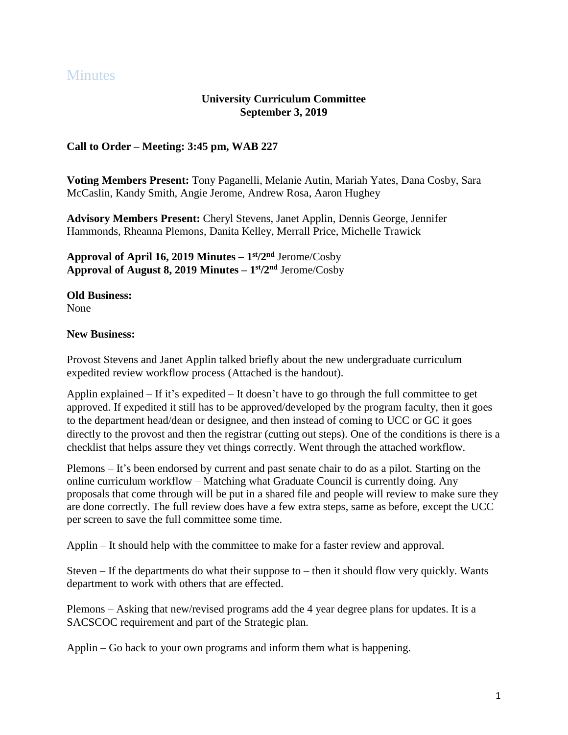## **Minutes**

## **University Curriculum Committee September 3, 2019**

## **Call to Order – Meeting: 3:45 pm, WAB 227**

**Voting Members Present:** Tony Paganelli, Melanie Autin, Mariah Yates, Dana Cosby, Sara McCaslin, Kandy Smith, Angie Jerome, Andrew Rosa, Aaron Hughey

**Advisory Members Present:** Cheryl Stevens, Janet Applin, Dennis George, Jennifer Hammonds, Rheanna Plemons, Danita Kelley, Merrall Price, Michelle Trawick

**Approval of April 16, 2019 Minutes – 1 st /2 nd** Jerome/Cosby **Approval of August 8, 2019 Minutes – 1 st /2 nd** Jerome/Cosby

**Old Business:** None

## **New Business:**

Provost Stevens and Janet Applin talked briefly about the new undergraduate curriculum expedited review workflow process (Attached is the handout).

Applin explained – If it's expedited – It doesn't have to go through the full committee to get approved. If expedited it still has to be approved/developed by the program faculty, then it goes to the department head/dean or designee, and then instead of coming to UCC or GC it goes directly to the provost and then the registrar (cutting out steps). One of the conditions is there is a checklist that helps assure they vet things correctly. Went through the attached workflow.

Plemons – It's been endorsed by current and past senate chair to do as a pilot. Starting on the online curriculum workflow – Matching what Graduate Council is currently doing. Any proposals that come through will be put in a shared file and people will review to make sure they are done correctly. The full review does have a few extra steps, same as before, except the UCC per screen to save the full committee some time.

Applin – It should help with the committee to make for a faster review and approval.

Steven – If the departments do what their suppose to – then it should flow very quickly. Wants department to work with others that are effected.

Plemons – Asking that new/revised programs add the 4 year degree plans for updates. It is a SACSCOC requirement and part of the Strategic plan.

Applin – Go back to your own programs and inform them what is happening.